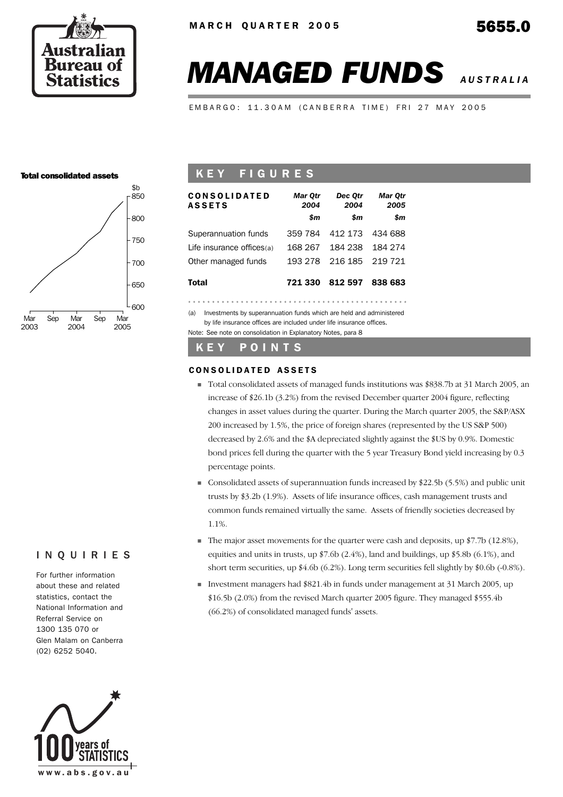

# *MANAGED FUNDS AUSTRALIA*

EMBARGO: 11.30AM (CANBERRA TIME) FRI 27 MAY 2005

#### Total consolidated assets



## K E Y F I G U R E S

| CONSOLIDATED<br><b>ASSETS</b>                                              | Mar Otr<br>2004 | Dec Otr<br>2004 | Mar Otr<br>2005 |
|----------------------------------------------------------------------------|-----------------|-----------------|-----------------|
|                                                                            | \$m             | \$m             | \$m             |
| Superannuation funds                                                       | 359 784         | 412 173         | 434 688         |
| Life insurance offices(a)                                                  | 168 267         | 184 238         | 184 274         |
| Other managed funds                                                        | 193 278         | 216 185         | 219 721         |
| Total                                                                      |                 | 721 330 812 597 | 838 683         |
|                                                                            |                 |                 |                 |
| (a)<br>Investments by superannuation funds which are held and administered |                 |                 |                 |

by life insurance offices are included under life insurance offices. Note: See note on consolidation in Explanatory Notes, para 8

#### K E Y P O I N T S

#### CONSOLIDATED ASSETS

- Total consolidated assets of managed funds institutions was \$838.7b at 31 March 2005, an increase of \$26.1b (3.2%) from the revised December quarter 2004 figure, reflecting changes in asset values during the quarter. During the March quarter 2005, the S&P/ASX 200 increased by 1.5%, the price of foreign shares (represented by the US S&P 500) decreased by 2.6% and the \$A depreciated slightly against the \$US by 0.9%. Domestic bond prices fell during the quarter with the 5 year Treasury Bond yield increasing by 0.3 percentage points.
- Consolidated assets of superannuation funds increased by \$22.5b (5.5%) and public unit trusts by \$3.2b (1.9%). Assets of life insurance offices, cash management trusts and common funds remained virtually the same. Assets of friendly societies decreased by 1.1%.
- The major asset movements for the quarter were cash and deposits, up  $$7.7b$  (12.8%), equities and units in trusts, up \$7.6b (2.4%), land and buildings, up \$5.8b (6.1%), and short term securities, up \$4.6b (6.2%). Long term securities fell slightly by \$0.6b (-0.8%).
- Investment managers had \$821.4b in funds under management at 31 March 2005, up \$16.5b (2.0%) from the revised March quarter 2005 figure. They managed \$555.4b (66.2%) of consolidated managed funds' assets.

#### INQUIRIES

For further information about these and related statistics, contact the National Information and Referral Service on 1300 135 070 or Glen Malam on Canberra (02) 6252 5040.

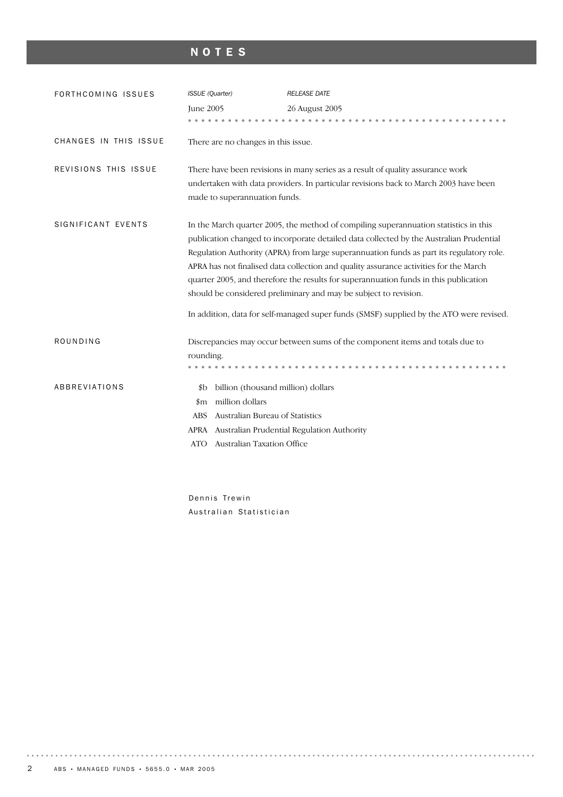# NOTES

| FORTHCOMING ISSUES    | <b>ISSUE</b> (Quarter)<br><b>June 2005</b>                                                                                                                                       | <b>RELEASE DATE</b><br>26 August 2005                                                                                                                                                                                                                                                                                                                                                                                                                                                                                                                                                                                       |
|-----------------------|----------------------------------------------------------------------------------------------------------------------------------------------------------------------------------|-----------------------------------------------------------------------------------------------------------------------------------------------------------------------------------------------------------------------------------------------------------------------------------------------------------------------------------------------------------------------------------------------------------------------------------------------------------------------------------------------------------------------------------------------------------------------------------------------------------------------------|
| CHANGES IN THIS ISSUE | There are no changes in this issue.                                                                                                                                              |                                                                                                                                                                                                                                                                                                                                                                                                                                                                                                                                                                                                                             |
| REVISIONS THIS ISSUE  | made to superannuation funds.                                                                                                                                                    | There have been revisions in many series as a result of quality assurance work<br>undertaken with data providers. In particular revisions back to March 2003 have been                                                                                                                                                                                                                                                                                                                                                                                                                                                      |
| SIGNIFICANT EVENTS    |                                                                                                                                                                                  | In the March quarter 2005, the method of compiling superannuation statistics in this<br>publication changed to incorporate detailed data collected by the Australian Prudential<br>Regulation Authority (APRA) from large superannuation funds as part its regulatory role.<br>APRA has not finalised data collection and quality assurance activities for the March<br>quarter 2005, and therefore the results for superannuation funds in this publication<br>should be considered preliminary and may be subject to revision.<br>In addition, data for self-managed super funds (SMSF) supplied by the ATO were revised. |
| ROUNDING              | rounding.                                                                                                                                                                        | Discrepancies may occur between sums of the component items and totals due to                                                                                                                                                                                                                                                                                                                                                                                                                                                                                                                                               |
| ABBREVIATIONS         | billion (thousand million) dollars<br>\$b<br>million dollars<br>$_{\rm sm}$<br>Australian Bureau of Statistics<br><b>ABS</b><br>APRA<br>Australian Taxation Office<br><b>ATO</b> | Australian Prudential Regulation Authority                                                                                                                                                                                                                                                                                                                                                                                                                                                                                                                                                                                  |

Dennis Trewin Australian Statistician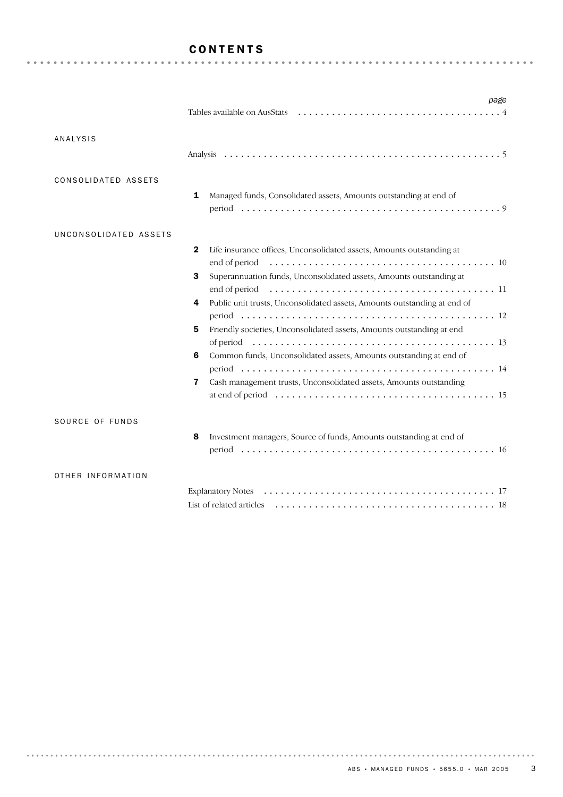#### CONTENTS

|                       | page                                                                          |
|-----------------------|-------------------------------------------------------------------------------|
|                       |                                                                               |
|                       |                                                                               |
| <b>ANALYSIS</b>       |                                                                               |
|                       |                                                                               |
|                       |                                                                               |
| CONSOLIDATED ASSETS   |                                                                               |
|                       | Managed funds, Consolidated assets, Amounts outstanding at end of<br>1        |
|                       |                                                                               |
|                       |                                                                               |
| UNCONSOLIDATED ASSETS |                                                                               |
|                       | Life insurance offices, Unconsolidated assets, Amounts outstanding at<br>2    |
|                       |                                                                               |
|                       | Superannuation funds, Unconsolidated assets, Amounts outstanding at<br>3      |
|                       |                                                                               |
|                       | Public unit trusts, Unconsolidated assets, Amounts outstanding at end of<br>4 |
|                       |                                                                               |
|                       |                                                                               |
|                       | Friendly societies, Unconsolidated assets, Amounts outstanding at end<br>5    |
|                       |                                                                               |
|                       | Common funds, Unconsolidated assets, Amounts outstanding at end of<br>6       |
|                       |                                                                               |
|                       | Cash management trusts, Unconsolidated assets, Amounts outstanding<br>7       |
|                       |                                                                               |
|                       |                                                                               |
| SOURCE OF FUNDS       |                                                                               |
|                       | Investment managers, Source of funds, Amounts outstanding at end of<br>8      |
|                       |                                                                               |
|                       |                                                                               |
| OTHER INFORMATION     |                                                                               |
|                       |                                                                               |
|                       |                                                                               |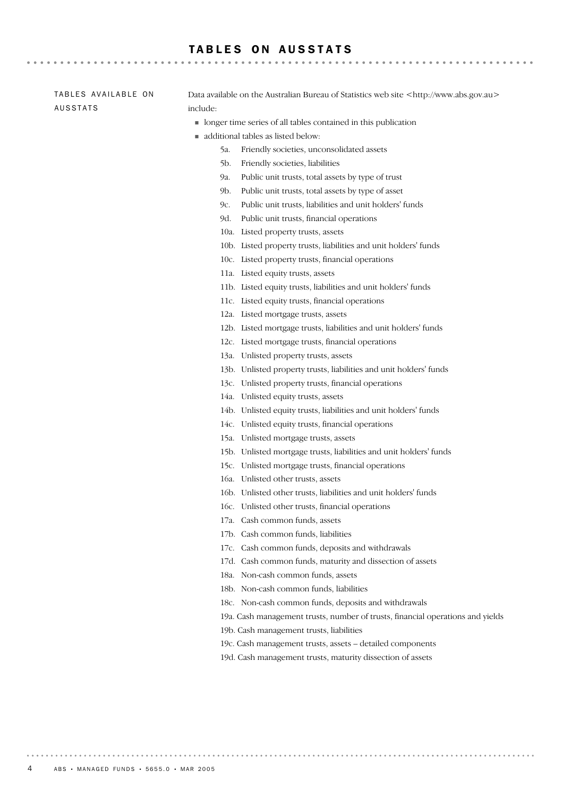#### TABLES ON AUSSTATS

TABLES AVAILABLE ON AUSSTATS

Data available on the Australian Bureau of Statistics web site <http://www.abs.gov.au> include:

- longer time series of all tables contained in this publication
- additional tables as listed below:
	- 5a. Friendly societies, unconsolidated assets
	- 5b. Friendly societies, liabilities
	- 9a. Public unit trusts, total assets by type of trust
	- 9b. Public unit trusts, total assets by type of asset
	- 9c. Public unit trusts, liabilities and unit holders' funds
	- 9d. Public unit trusts, financial operations
	- 10a. Listed property trusts, assets
	- 10b. Listed property trusts, liabilities and unit holders' funds
	- 10c. Listed property trusts, financial operations
	- 11a. Listed equity trusts, assets
	- 11b. Listed equity trusts, liabilities and unit holders' funds
	- 11c. Listed equity trusts, financial operations
	- 12a. Listed mortgage trusts, assets
	- 12b. Listed mortgage trusts, liabilities and unit holders' funds
	- 12c. Listed mortgage trusts, financial operations
	- 13a. Unlisted property trusts, assets
	- 13b. Unlisted property trusts, liabilities and unit holders' funds
	- 13c. Unlisted property trusts, financial operations
	- 14a. Unlisted equity trusts, assets
	- 14b. Unlisted equity trusts, liabilities and unit holders' funds
	- 14c. Unlisted equity trusts, financial operations
	- 15a. Unlisted mortgage trusts, assets
	- 15b. Unlisted mortgage trusts, liabilities and unit holders' funds
	- 15c. Unlisted mortgage trusts, financial operations
	- 16a. Unlisted other trusts, assets
	- 16b. Unlisted other trusts, liabilities and unit holders' funds
	- 16c. Unlisted other trusts, financial operations
	- 17a. Cash common funds, assets
	- 17b. Cash common funds, liabilities
	- 17c. Cash common funds, deposits and withdrawals
	- 17d. Cash common funds, maturity and dissection of assets
	- 18a. Non-cash common funds, assets
	- 18b. Non-cash common funds, liabilities
	- 18c. Non-cash common funds, deposits and withdrawals
	- 19a. Cash management trusts, number of trusts, financial operations and yields
	- 19b. Cash management trusts, liabilities
	- 19c. Cash management trusts, assets detailed components
	- 19d. Cash management trusts, maturity dissection of assets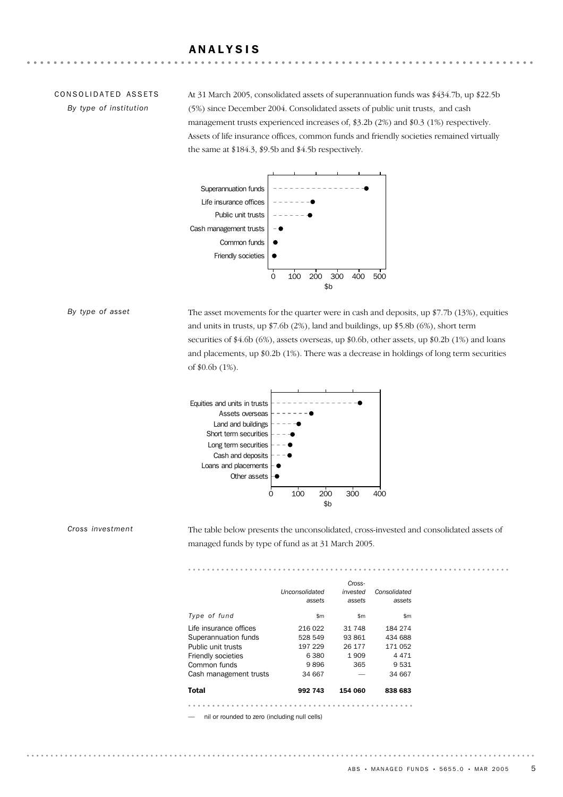#### ANALYSIS

# CONSOLIDATED ASSETS

*By type of institution*

At 31 March 2005, consolidated assets of superannuation funds was \$434.7b, up \$22.5b (5%) since December 2004. Consolidated assets of public unit trusts, and cash management trusts experienced increases of, \$3.2b (2%) and \$0.3 (1%) respectively. Assets of life insurance offices, common funds and friendly societies remained virtually the same at \$184.3, \$9.5b and \$4.5b respectively.



#### *By type of asset*

*Cross investment*

The asset movements for the quarter were in cash and deposits, up \$7.7b (13%), equities and units in trusts, up \$7.6b (2%), land and buildings, up \$5.8b (6%), short term securities of \$4.6b (6%), assets overseas, up \$0.6b, other assets, up \$0.2b (1%) and loans and placements, up \$0.2b (1%). There was a decrease in holdings of long term securities of \$0.6b (1%).



The table below presents the unconsolidated, cross-invested and consolidated assets of managed funds by type of fund as at 31 March 2005.

|                           |                | Cross-   |              |  |
|---------------------------|----------------|----------|--------------|--|
|                           | Unconsolidated | invested | Consolidated |  |
|                           | assets         | assets   | assets       |  |
| Type of fund              | \$m\$          | \$m\$    | \$m          |  |
| Life insurance offices    | 216 022        | 31 748   | 184 274      |  |
| Superannuation funds      | 528 549        | 93 861   | 434 688      |  |
| Public unit trusts        | 197 229        | 26 177   | 171 052      |  |
| <b>Friendly societies</b> | 6380           | 1909     | 4471         |  |
| Common funds              | 9896           | 365      | 9531         |  |
| Cash management trusts    | 34 667         |          | 34 667       |  |
| Total                     | 992 743        | 154 060  | 838 683      |  |

— nil or rounded to zero (including null cells)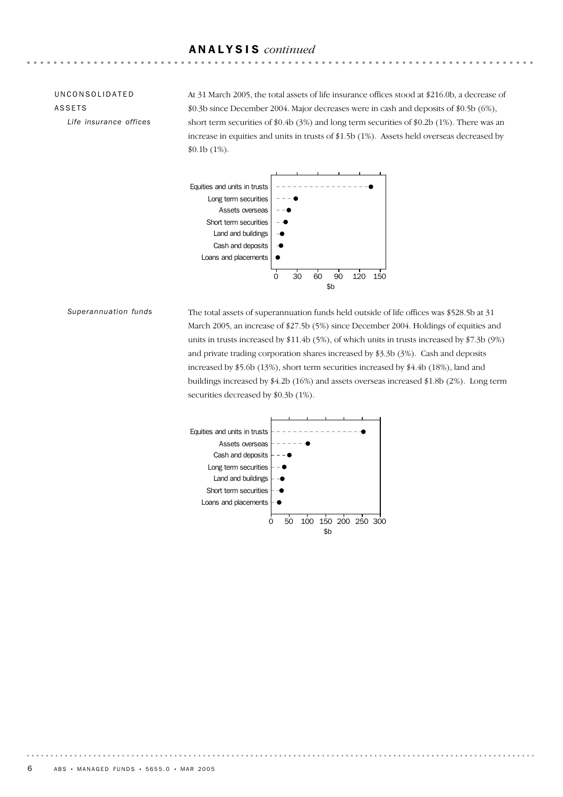#### ANALYSIS *continued*

#### UNCONSOLIDATED ASSETS

*Life insurance offices*

At 31 March 2005, the total assets of life insurance offices stood at \$216.0b, a decrease of \$0.3b since December 2004. Major decreases were in cash and deposits of \$0.5b (6%), short term securities of \$0.4b (3%) and long term securities of \$0.2b (1%). There was an increase in equities and units in trusts of \$1.5b (1%). Assets held overseas decreased by \$0.1b (1%).



*Superannuation funds*

The total assets of superannuation funds held outside of life offices was \$528.5b at 31 March 2005, an increase of \$27.5b (5%) since December 2004. Holdings of equities and units in trusts increased by \$11.4b (5%), of which units in trusts increased by \$7.3b (9%) and private trading corporation shares increased by \$3.3b (3%). Cash and deposits increased by \$5.6b (13%), short term securities increased by \$4.4b (18%), land and buildings increased by \$4.2b (16%) and assets overseas increased \$1.8b (2%). Long term securities decreased by \$0.3b (1%).

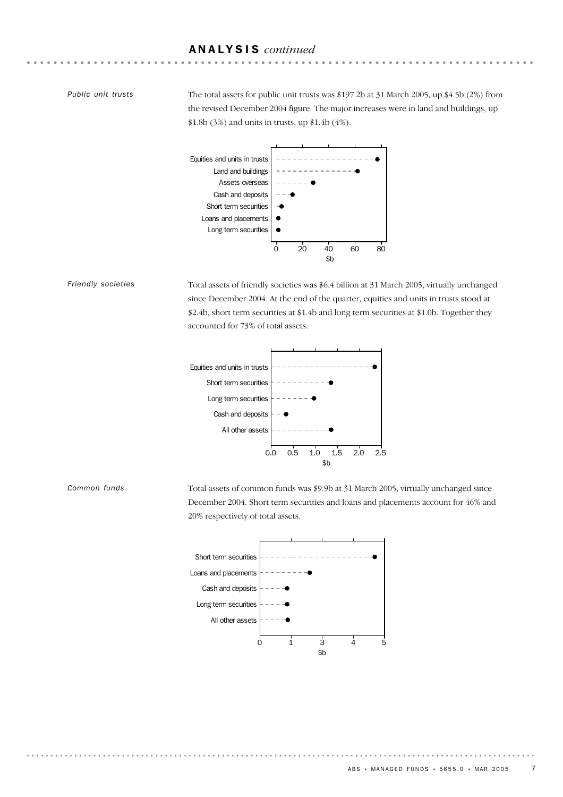#### ANALYSIS *continued*

#### *Public unit trusts*

*Friendly societies*

*Common funds*

The total assets for public unit trusts was \$197.2b at 31 March 2005, up \$4.5b (2%) from the revised December 2004 figure. The major increases were in land and buildings, up \$1.8b (3%) and units in trusts, up \$1.4b (4%).



Total assets of friendly societies was \$6.4 billion at 31 March 2005, virtually unchanged since December 2004. At the end of the quarter, equities and units in trusts stood at \$2.4b, short term securities at \$1.4b and long term securities at \$1.0b. Together they accounted for 73% of total assets.



Total assets of common funds was \$9.9b at 31 March 2005, virtually unchanged since December 2004. Short term securities and loans and placements account for 46% and 20% respectively of total assets.

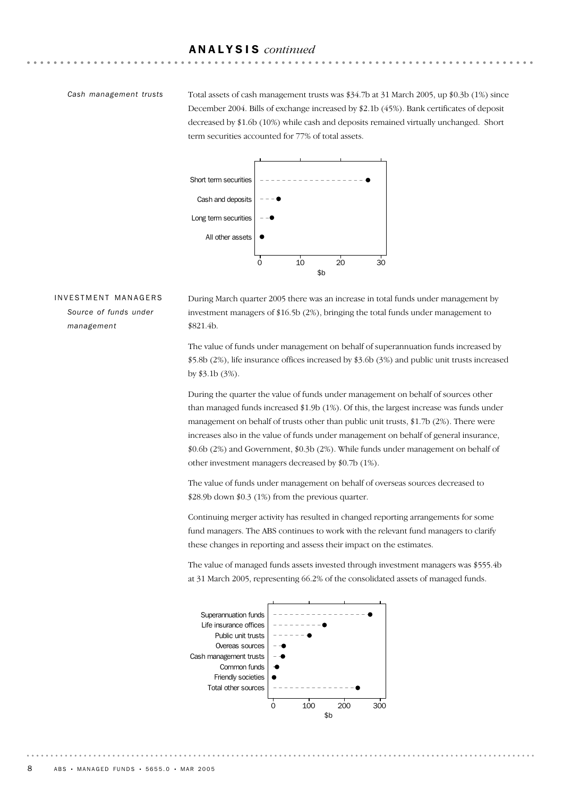#### ANALYSIS *continued*

#### *Cash management trusts*

Total assets of cash management trusts was \$34.7b at 31 March 2005, up \$0.3b (1%) since December 2004. Bills of exchange increased by \$2.1b (45%). Bank certificates of deposit decreased by \$1.6b (10%) while cash and deposits remained virtually unchanged. Short term securities accounted for 77% of total assets.



#### INVESTMENT MANAGERS *Source of funds under management*

During March quarter 2005 there was an increase in total funds under management by investment managers of \$16.5b (2%), bringing the total funds under management to \$821.4b.

The value of funds under management on behalf of superannuation funds increased by \$5.8b (2%), life insurance offices increased by \$3.6b (3%) and public unit trusts increased by \$3.1b (3%).

During the quarter the value of funds under management on behalf of sources other than managed funds increased \$1.9b (1%). Of this, the largest increase was funds under management on behalf of trusts other than public unit trusts, \$1.7b (2%). There were increases also in the value of funds under management on behalf of general insurance, \$0.6b (2%) and Government, \$0.3b (2%). While funds under management on behalf of other investment managers decreased by \$0.7b (1%).

The value of funds under management on behalf of overseas sources decreased to \$28.9b down \$0.3 (1%) from the previous quarter.

Continuing merger activity has resulted in changed reporting arrangements for some fund managers. The ABS continues to work with the relevant fund managers to clarify these changes in reporting and assess their impact on the estimates.



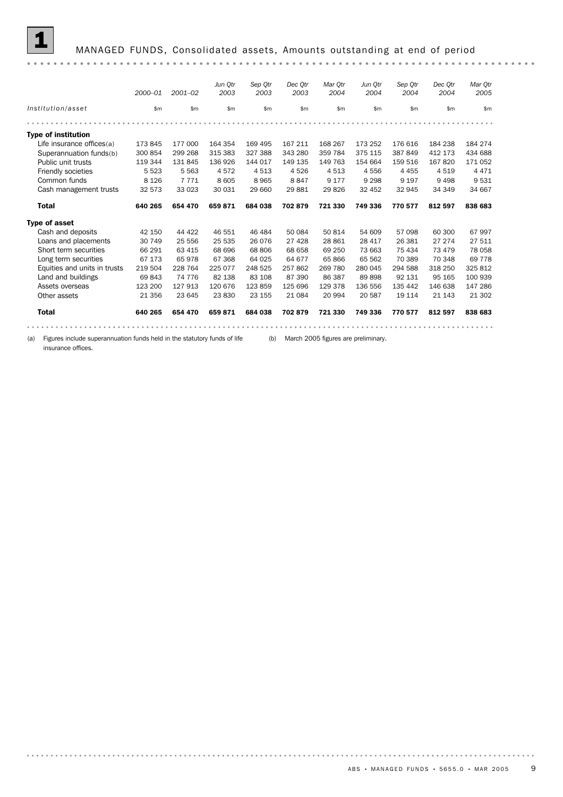|                              |             |             | Jun Otr      | Sep Otr | Dec Otr | Mar Otr | Jun Otr | Sep Otr | Dec Otr  | Mar Otr  |
|------------------------------|-------------|-------------|--------------|---------|---------|---------|---------|---------|----------|----------|
|                              | $2000 - 01$ | $2001 - 02$ | 2003         | 2003    | 2003    | 2004    | 2004    | 2004    | 2004     | 2005     |
| Institution/asset            | \$m         | \$m         | $\mathsf{m}$ | \$m\$   | \$m     | \$m\$   | \$m     | \$m     | \$m\$    | \$m      |
|                              |             |             |              |         |         |         |         |         |          |          |
| <b>Type of institution</b>   |             |             |              |         |         |         |         |         |          |          |
| Life insurance offices(a)    | 173 845     | 177 000     | 164 354      | 169 495 | 167 211 | 168 267 | 173 252 | 176 616 | 184 238  | 184 274  |
| Superannuation funds(b)      | 300 854     | 299 268     | 315 383      | 327 388 | 343 280 | 359 784 | 375 115 | 387 849 | 412 173  | 434 688  |
| Public unit trusts           | 119 344     | 131 845     | 136 926      | 144 017 | 149 135 | 149 763 | 154 664 | 159 516 | 167820   | 171 052  |
| Friendly societies           | 5 5 2 3     | 5 5 6 3     | 4572         | 4513    | 4526    | 4513    | 4556    | 4 4 5 5 | 4519     | 4 4 7 1  |
| Common funds                 | 8 1 2 6     | 7 7 7 1     | 8 6 0 5      | 8965    | 8847    | 9 1 7 7 | 9 2 9 8 | 9 1 9 7 | 9 4 9 8  | 9531     |
| Cash management trusts       | 32 573      | 33 0 23     | 30 031       | 29 660  | 29881   | 29826   | 32 452  | 32 945  | 34 34 9  | 34 667   |
| <b>Total</b>                 | 640 265     | 654 470     | 659871       | 684 038 | 702879  | 721 330 | 749 336 | 770 577 | 812 597  | 838 683  |
| <b>Type of asset</b>         |             |             |              |         |         |         |         |         |          |          |
| Cash and deposits            | 42 150      | 44 4 22     | 46 551       | 46 484  | 50 084  | 50 814  | 54 609  | 57 098  | 60 300   | 67997    |
| Loans and placements         | 30 749      | 25 556      | 25 535       | 26 076  | 27 4 28 | 28 861  | 28 417  | 26 381  | 27 274   | 27 511   |
| Short term securities        | 66 291      | 63 415      | 68 696       | 68 806  | 68 658  | 69 250  | 73 663  | 75 434  | 73 479   | 78 058   |
| Long term securities         | 67 173      | 65978       | 67 368       | 64 025  | 64 677  | 65 866  | 65 562  | 70 389  | 70 348   | 69 7 7 8 |
| Equities and units in trusts | 219 504     | 228 764     | 225 077      | 248 525 | 257862  | 269 780 | 280 045 | 294 588 | 318 250  | 325 812  |
| Land and buildings           | 69 843      | 74 776      | 82 138       | 83 108  | 87 390  | 86 387  | 89898   | 92 131  | 95 165   | 100 939  |
| Assets overseas              | 123 200     | 127 913     | 120 676      | 123 859 | 125 696 | 129 378 | 136 556 | 135 442 | 146 638  | 147 286  |
|                              |             |             | 23830        | 23 155  | 21 0 84 | 20 994  | 20 587  | 19 114  | 21 1 4 3 | 21 302   |
| Other assets                 | 21 356      | 23 645      |              |         |         |         |         |         |          |          |
| <b>Total</b>                 | 640 265     | 654 470     | 659871       | 684 038 | 702879  | 721 330 | 749 336 | 770 577 | 812 597  | 838 683  |

(a) Figures include superannuation funds held in the statutory funds of life (b) March 2005 figures are preliminary.

insurance offices.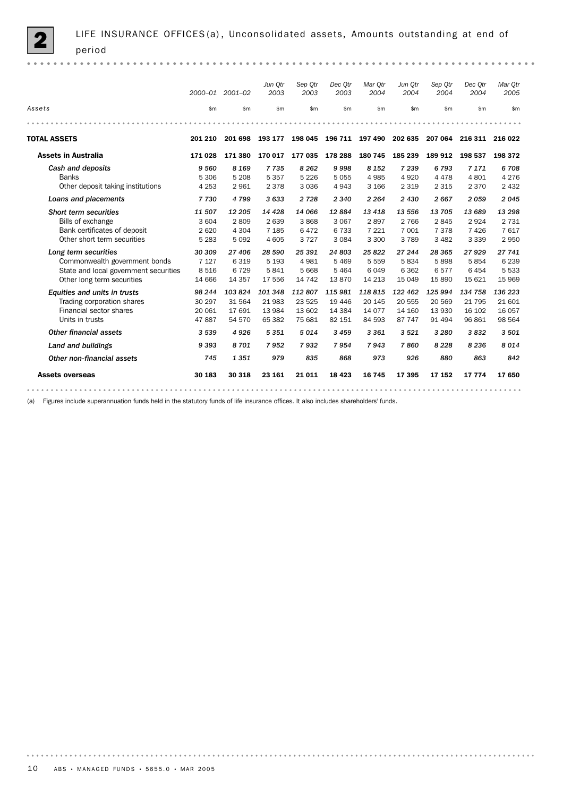|                                                                                                                              | 2000-01                              | 2001-02                             | Jun Qtr<br>2003                       | Sep Otr<br>2003                          | Dec Otr<br>2003                         | Mar Otr<br>2004                       | Jun Otr<br>2004                         | Sep Otr<br>2004                        | Dec Otr<br>2004                         | Mar Qtr<br>2005                        |
|------------------------------------------------------------------------------------------------------------------------------|--------------------------------------|-------------------------------------|---------------------------------------|------------------------------------------|-----------------------------------------|---------------------------------------|-----------------------------------------|----------------------------------------|-----------------------------------------|----------------------------------------|
| Assets                                                                                                                       | \$m\$                                | \$m                                 | \$m                                   | \$m\$                                    | \$m\$                                   | \$m                                   | \$m                                     | \$m\$                                  | \$m                                     | \$m                                    |
|                                                                                                                              |                                      |                                     |                                       |                                          |                                         |                                       |                                         |                                        |                                         |                                        |
| <b>TOTAL ASSETS</b>                                                                                                          | 201 210                              | 201 698                             | 193 177                               | 198 045                                  | 196 711                                 | 197 490                               | 202 635                                 | 207 064                                | 216 311 216 022                         |                                        |
| <b>Assets in Australia</b>                                                                                                   | 171 028                              | 171 380                             | 170 017                               | 177 035                                  | 178 288                                 | 180 745                               | 185 239                                 | 189 912                                | 198 537                                 | 198 372                                |
| Cash and deposits<br><b>Banks</b><br>Other deposit taking institutions                                                       | 9 5 6 0<br>5 3 0 6<br>4 2 5 3        | 8 1 6 9<br>5 2 0 8<br>2961          | 7735<br>5 3 5 7<br>2 3 7 8            | 8 2 6 2<br>5 2 2 6<br>3 0 3 6            | 9998<br>5055<br>4943                    | 8 1 5 2<br>4 9 8 5<br>3 1 6 6         | 7 2 3 9<br>4920<br>2 3 1 9              | 6793<br>4 4 7 8<br>2 3 1 5             | 7 1 7 1<br>4801<br>2 3 7 0              | 6708<br>4 2 7 6<br>2 4 3 2             |
| Loans and placements                                                                                                         | 7730                                 | 4799                                | 3 6 3 3                               | 2 7 2 8                                  | 2 3 4 0                                 | 2 2 6 4                               | 2430                                    | 2667                                   | 2059                                    | 2045                                   |
| <b>Short term securities</b><br>Bills of exchange<br>Bank certificates of deposit<br>Other short term securities             | 11 507<br>3 604<br>2620<br>5 2 8 3   | 12 205<br>2809<br>4 3 0 4<br>5092   | 14 4 28<br>2639<br>7 1 8 5<br>4 6 0 5 | 14 066<br>3868<br>6472<br>3 7 2 7        | 12884<br>3 0 6 7<br>6733<br>3 0 8 4     | 13 4 18<br>2897<br>7 2 2 1<br>3 3 0 0 | 13 556<br>2 7 6 6<br>7 0 0 1<br>3 7 8 9 | 13 705<br>2845<br>7378<br>3 4 8 2      | 13 689<br>2924<br>7426<br>3 3 3 9       | 13 298<br>2 7 3 1<br>7617<br>2950      |
| Long term securities<br>Commonwealth government bonds<br>State and local government securities<br>Other long term securities | 30 309<br>7 1 2 7<br>8516<br>14 6 66 | 27 406<br>6319<br>6729<br>14 3 5 7  | 28 590<br>5 1 9 3<br>5841<br>17 556   | 25 391<br>4 9 8 1<br>5 6 6 8<br>14 7 4 2 | 24 803<br>5469<br>5 4 6 4<br>13870      | 25822<br>5 5 5 9<br>6049<br>14 2 13   | 27 244<br>5834<br>6 3 6 2<br>15 0 49    | 28 3 65<br>5898<br>6577<br>15890       | 27929<br>5854<br>6454<br>15 6 21        | 27 741<br>6 2 3 9<br>5 5 3 3<br>15 969 |
| Equities and units in trusts<br>Trading corporation shares<br>Financial sector shares<br>Units in trusts                     | 98 244<br>30 297<br>20 061<br>47887  | 103824<br>31 564<br>17691<br>54 570 | 101 348<br>21 983<br>13 984<br>65 382 | 112807<br>23 5 25<br>13 602<br>75 681    | 115 981<br>19 4 46<br>14 3 84<br>82 151 | 118815<br>20 145<br>14 0 77<br>84 593 | 122 462<br>20 555<br>14 160<br>87 747   | 125 994<br>20 569<br>13 930<br>91 4 94 | 134 758<br>21 7 9 5<br>16 102<br>96 861 | 136 223<br>21 601<br>16 057<br>98 564  |
| Other financial assets                                                                                                       | 3 5 3 9                              | 4926                                | 5 3 5 1                               | 5014                                     | 3 4 5 9                                 | 3 3 6 1                               | 3 5 2 1                                 | 3 2 8 0                                | 3832                                    | 3501                                   |
| Land and buildings                                                                                                           | 9 3 9 3                              | 8701                                | 7952                                  | 7932                                     | 7954                                    | 7943                                  | 7860                                    | 8 2 2 8                                | 8 2 3 6                                 | 8014                                   |
| Other non-financial assets                                                                                                   | 745                                  | 1351                                | 979                                   | 835                                      | 868                                     | 973                                   | 926                                     | 880                                    | 863                                     | 842                                    |
| <b>Assets overseas</b>                                                                                                       | 30 183                               | 30 318                              | 23 161                                | 21 011                                   | 18 4 23                                 | 16 745                                | 17 395                                  | 17 152                                 | 17 774                                  | 17650                                  |
|                                                                                                                              |                                      |                                     |                                       |                                          |                                         |                                       |                                         |                                        |                                         |                                        |

(a) Figures include superannuation funds held in the statutory funds of life insurance offices. It also includes shareholders' funds.

. . . . . . . . .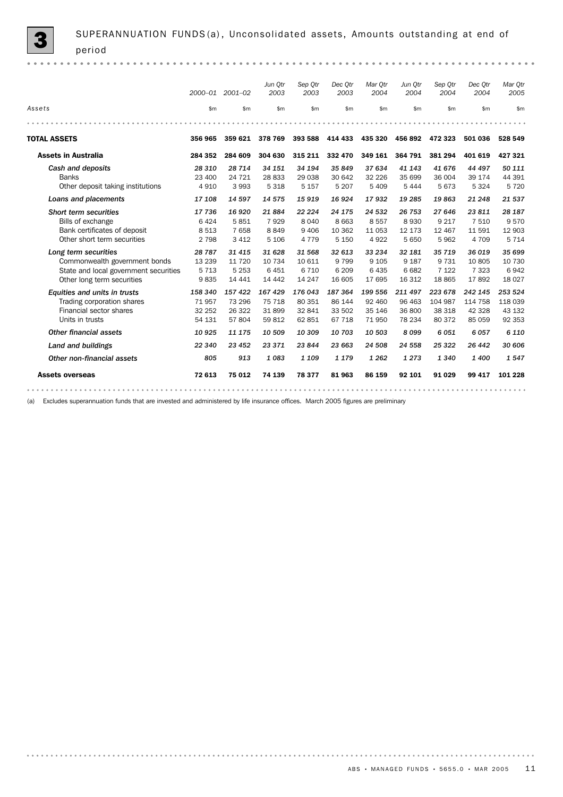|                                       | 2000-01  | $2001 - 02$     | Jun Qtr<br>2003 | Sep Otr<br>2003 | Dec Otr<br>2003 | Mar Otr<br>2004 | Jun Qtr<br>2004 | Sep Otr<br>2004 | Dec Otr<br>2004 | Mar Qtr<br>2005 |
|---------------------------------------|----------|-----------------|-----------------|-----------------|-----------------|-----------------|-----------------|-----------------|-----------------|-----------------|
| Assets                                | \$m      | \$m\$           | \$m             | \$m             | \$m\$           | \$m             | \$m\$           | \$m\$           | \$m             | \$m             |
|                                       |          |                 |                 |                 |                 |                 |                 |                 |                 |                 |
| <b>TOTAL ASSETS</b>                   | 356 965  | 359 621 378 769 |                 | 393 588         | 414 433         | 435 320         | 456 892         | 472 323         | 501 036         | 528 549         |
| <b>Assets in Australia</b>            | 284 352  | 284 609         | 304 630         | 315 211         | 332 470         | 349 161         | 364 791         | 381 294         | 401 619         | 427321          |
| Cash and deposits                     | 28 310   | 28 714          | 34 151          | 34 194          | 35849           | 37 634          | 41 143          | 41 676          | 44 497          | 50 111          |
| <b>Banks</b>                          | 23 400   | 24 7 21         | 28 833          | 29 038          | 30 642          | 32 2 2 6        | 35 699          | 36 004          | 39 174          | 44 391          |
| Other deposit taking institutions     | 4910     | 3993            | 5 3 1 8         | 5 1 5 7         | 5 2 0 7         | 5 4 0 9         | 5 4 4 4         | 5673            | 5 3 2 4         | 5720            |
| Loans and placements                  | 17 108   | 14 597          | 14 575          | 15919           | 16924           | 17932           | 19 285          | 19863           | 21 248          | 21 537          |
| <b>Short term securities</b>          | 17 736   | 16 9 20         | 21884           | 22 224          | 24 175          | 24 532          | 26 753          | 27 646          | 23811           | 28 187          |
| Bills of exchange                     | 6424     | 5851            | 7929            | 8 0 4 0         | 8 6 6 3         | 8557            | 8930            | 9 2 1 7         | 7 5 1 0         | 9570            |
| Bank certificates of deposit          | 8 5 1 3  | 7658            | 8849            | 9 4 0 6         | 10 362          | 11 0 53         | 12 173          | 12 4 6 7        | 11 591          | 12 903          |
| Other short term securities           | 2 7 9 8  | 3 4 1 2         | 5 1 0 6         | 4 7 7 9         | 5 1 5 0         | 4922            | 5 6 5 0         | 5962            | 4 709           | 5 7 1 4         |
| Long term securities                  | 28 7 8 7 | 31 415          | 31 628          | 31 568          | 32 613          | 33 234          | 32 181          | 35 719          | 36 019          | 35 699          |
| Commonwealth government bonds         | 13 2 39  | 11 7 20         | 10 7 34         | 10 611          | 9 7 9 9         | 9 1 0 5         | 9 1 8 7         | 9 7 3 1         | 10 805          | 10 730          |
| State and local government securities | 5 7 1 3  | 5 2 5 3         | 6451            | 6 7 1 0         | 6 2 0 9         | 6435            | 6682            | 7 1 2 2         | 7 3 2 3         | 6942            |
| Other long term securities            | 9835     | 14 4 4 1        | 14 4 4 2        | 14 247          | 16 605          | 17 695          | 16 312          | 18 8 65         | 17892           | 18 0 27         |
| Equities and units in trusts          | 158 340  | 157 422         | 167 429         | 176 043         | 187 364         | 199 556         | 211 497         | 223 678         | 242 145         | 253 524         |
| Trading corporation shares            | 71957    | 73 296          | 75 718          | 80 351          | 86 144          | 92 460          | 96 463          | 104 987         | 114 758         | 118 039         |
| Financial sector shares               | 32 252   | 26 322          | 31899           | 32 841          | 33 502          | 35 146          | 36 800          | 38 318          | 42 3 28         | 43 132          |
| Units in trusts                       | 54 131   | 57804           | 59 812          | 62 851          | 67 718          | 71950           | 78 234          | 80 372          | 85 059          | 92 353          |
| Other financial assets                | 10 9 25  | 11 175          | 10 509          | 10 309          | 10 703          | 10 503          | 8099            | 6051            | 6057            | 6 1 1 0         |
| Land and buildings                    | 22 340   | 23 452          | 23 371          | 23 844          | 23 663          | 24 508          | 24 558          | 25 3 22         | 26 442          | 30 606          |
| Other non-financial assets            | 805      | 913             | 1083            | 1 1 0 9         | 1 1 7 9         | 1 2 6 2         | 1 2 7 3         | 1340            | 1400            | 1547            |
| <b>Assets overseas</b>                | 72 613   | 75 012          | 74 139          | 78377           | 81963           | 86 159          | 92 101          | 91 0 29         | 99 417          | 101 228         |
|                                       |          |                 |                 |                 |                 |                 |                 |                 |                 |                 |

(a) Excludes superannuation funds that are invested and administered by life insurance offices. March 2005 figures are preliminary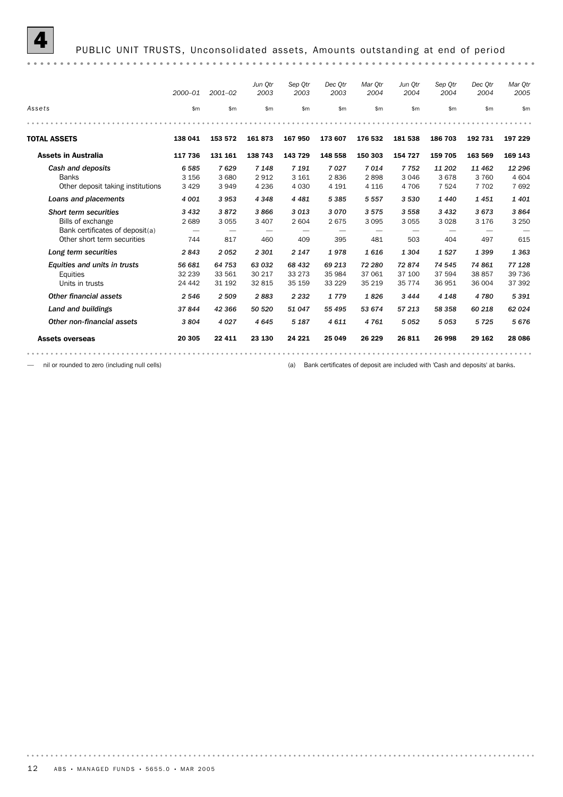

|                                   | $2000 - 01$ | $2001 - 02$ | Jun Otr<br>2003 | Sep Otr<br>2003 | Dec Otr<br>2003 | Mar Otr<br>2004 | Jun Otr<br>2004 | Sep Otr<br>2004 | Dec Otr<br>2004 | Mar Otr<br>2005 |
|-----------------------------------|-------------|-------------|-----------------|-----------------|-----------------|-----------------|-----------------|-----------------|-----------------|-----------------|
| Assets                            | \$m\$       | \$m\$       | \$m\$           | \$m             | \$m\$           | \$m\$           | \$m\$           | \$m\$           | \$m\$           | \$m             |
|                                   |             |             |                 |                 |                 |                 |                 |                 |                 |                 |
| <b>TOTAL ASSETS</b>               | 138 041     | 153 572     | 161873          | 167 950         | 173 607         | 176 532         | 181 538         | 186 703         | 192 731         | 197 229         |
| <b>Assets in Australia</b>        | 117 736     | 131 161     | 138 743         | 143 729         | 148 558         | 150 303         | 154 727         | 159 705         | 163 569         | 169 143         |
| Cash and deposits                 | 6585        | 7629        | 7 1 4 8         | 7 1 9 1         | 7027            | 7014            | 7752            | 11 202          | 11 462          | 12 296          |
| <b>Banks</b>                      | 3 1 5 6     | 3 6 8 0     | 2912            | 3 1 6 1         | 2836            | 2898            | 3 0 4 6         | 3678            | 3 7 6 0         | 4 604           |
| Other deposit taking institutions | 3 4 2 9     | 3949        | 4 2 3 6         | 4 0 3 0         | 4 1 9 1         | 4 1 1 6         | 4 70 6          | 7 5 2 4         | 7 7 0 2         | 7692            |
| Loans and placements              | 4 0 0 1     | 3953        | 4 3 4 8         | 4 4 8 1         | 5385            | 5 5 5 7         | 3 5 3 0         | 1440            | 1451            | 1 4 0 1         |
| <b>Short term securities</b>      | 3 4 3 2     | 3872        | 3866            | 3013            | 3070            | 3575            | 3 5 5 8         | 3 4 3 2         | 3673            | 3864            |
| Bills of exchange                 | 2689        | 3 0 5 5     | 3 4 0 7         | 2 604           | 2675            | 3 0 9 5         | 3 0 5 5         | 3 0 28          | 3 1 7 6         | 3 2 5 0         |
| Bank certificates of deposit(a)   | -           | -           |                 |                 |                 |                 |                 |                 |                 |                 |
| Other short term securities       | 744         | 817         | 460             | 409             | 395             | 481             | 503             | 404             | 497             | 615             |
| Long term securities              | 2843        | 2052        | 2 3 0 1         | 2 1 4 7         | 1978            | 1616            | 1 3 0 4         | 1527            | 1399            | 1363            |
| Equities and units in trusts      | 56 681      | 64 753      | 63 032          | 68 432          | 69 213          | 72 280          | 72874           | 74 545          | 74 861          | 77 128          |
| Equities                          | 32 239      | 33 561      | 30 217          | 33 2 7 3        | 35 984          | 37 061          | 37 100          | 37 594          | 38 857          | 39 736          |
| Units in trusts                   | 24 4 4 2    | 31 192      | 32 815          | 35 159          | 33 2 29         | 35 219          | 35 7 7 4        | 36 951          | 36 004          | 37 392          |
| <b>Other financial assets</b>     | 2 5 4 6     | 2 5 0 9     | 2883            | 2 2 3 2         | 1779            | 1826            | 3 4 4 4         | 4 1 4 8         | 4780            | 5391            |
| Land and buildings                | 37844       | 42 366      | 50 520          | 51 047          | 55 495          | 53 674          | 57 213          | 58 358          | 60 218          | 62 0 24         |
| Other non-financial assets        | 3804        | 4 0 2 7     | 4645            | 5 1 8 7         | 4611            | 4761            | 5052            | 5053            | 5725            | 5676            |
| <b>Assets overseas</b>            | 20 305      | 22 4 11     | 23 130          | 24 221          | 25 049          | 26 229          | 26 811          | 26 998          | 29 162          | 28 0 86         |

— nil or rounded to zero (including null cells) (a) Bank certificates of deposit are included with 'Cash and deposits' at banks.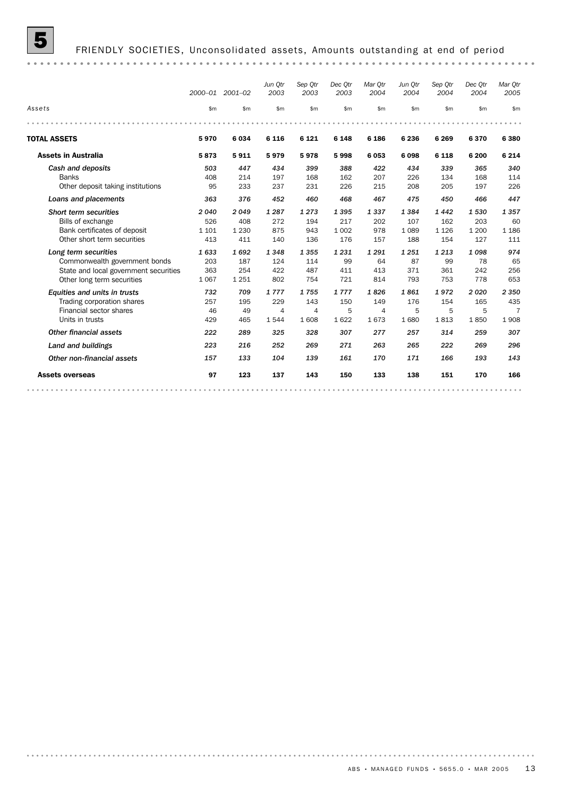

|                                       |         | 2000-01 2001-02 | Jun Otr<br>2003 | Sep Otr<br>2003 | Dec Otr<br>2003 | Mar Otr<br>2004 | Jun Otr<br>2004 | Sep Otr<br>2004 | Dec Otr<br>2004 | Mar Qtr<br>2005 |
|---------------------------------------|---------|-----------------|-----------------|-----------------|-----------------|-----------------|-----------------|-----------------|-----------------|-----------------|
| Assets                                | \$m\$   | \$m             | \$m\$           | \$m             | \$m             | \$m             | \$m\$           | \$m             | \$m             | \$m             |
|                                       |         |                 |                 |                 |                 |                 |                 |                 |                 |                 |
| <b>TOTAL ASSETS</b>                   | 5970    | 6 0 3 4         | 6 1 1 6         | 6 1 2 1         | 6 1 4 8         | 6 186           | 6 2 3 6         | 6 2 6 9         | 6370            | 6 3 8 0         |
| <b>Assets in Australia</b>            | 5873    | 5911            | 5979            | 5978            | 5998            | 6053            | 6098            | 6 1 1 8         | 6 200           | 6 2 1 4         |
| Cash and deposits                     | 503     | 447             | 434             | 399             | 388             | 422             | 434             | 339             | 365             | 340             |
| <b>Banks</b>                          | 408     | 214             | 197             | 168             | 162             | 207             | 226             | 134             | 168             | 114             |
| Other deposit taking institutions     | 95      | 233             | 237             | 231             | 226             | 215             | 208             | 205             | 197             | 226             |
| Loans and placements                  | 363     | 376             | 452             | 460             | 468             | 467             | 475             | 450             | 466             | 447             |
| Short term securities                 | 2040    | 2049            | 1 2 8 7         | 1273            | 1 3 9 5         | 1337            | 1384            | 1442            | 1530            | 1 3 5 7         |
| Bills of exchange                     | 526     | 408             | 272             | 194             | 217             | 202             | 107             | 162             | 203             | 60              |
| Bank certificates of deposit          | 1 1 0 1 | 1 2 3 0         | 875             | 943             | 1 0 0 2         | 978             | 1 0 8 9         | 1 1 2 6         | 1 200           | 1 1 8 6         |
| Other short term securities           | 413     | 411             | 140             | 136             | 176             | 157             | 188             | 154             | 127             | 111             |
| Long term securities                  | 1633    | 1692            | 1348            | 1 3 5 5         | 1 2 3 1         | 1 2 9 1         | 1251            | 1 2 1 3         | 1098            | 974             |
| Commonwealth government bonds         | 203     | 187             | 124             | 114             | 99              | 64              | 87              | 99              | 78              | 65              |
| State and local government securities | 363     | 254             | 422             | 487             | 411             | 413             | 371             | 361             | 242             | 256             |
| Other long term securities            | 1 0 6 7 | 1 2 5 1         | 802             | 754             | 721             | 814             | 793             | 753             | 778             | 653             |
| Equities and units in trusts          | 732     | 709             | 1777            | 1755            | 1777            | 1826            | 1861            | 1972            | 2020            | 2 3 5 0         |
| Trading corporation shares            | 257     | 195             | 229             | 143             | 150             | 149             | 176             | 154             | 165             | 435             |
| Financial sector shares               | 46      | 49              | $\overline{4}$  | $\overline{4}$  | 5               | $\overline{4}$  | 5               | 5               | 5               | $\overline{7}$  |
| Units in trusts                       | 429     | 465             | 1544            | 1 608           | 1622            | 1673            | 1680            | 1813            | 1850            | 1908            |
| Other financial assets                | 222     | 289             | 325             | 328             | 307             | 277             | 257             | 314             | 259             | 307             |
| Land and buildings                    | 223     | 216             | 252             | 269             | 271             | 263             | 265             | 222             | 269             | 296             |
| Other non-financial assets            | 157     | 133             | 104             | 139             | 161             | 170             | 171             | 166             | 193             | 143             |
| <b>Assets overseas</b>                | 97      | 123             | 137             | 143             | 150             | 133             | 138             | 151             | 170             | 166             |
|                                       |         |                 |                 |                 |                 |                 |                 |                 |                 |                 |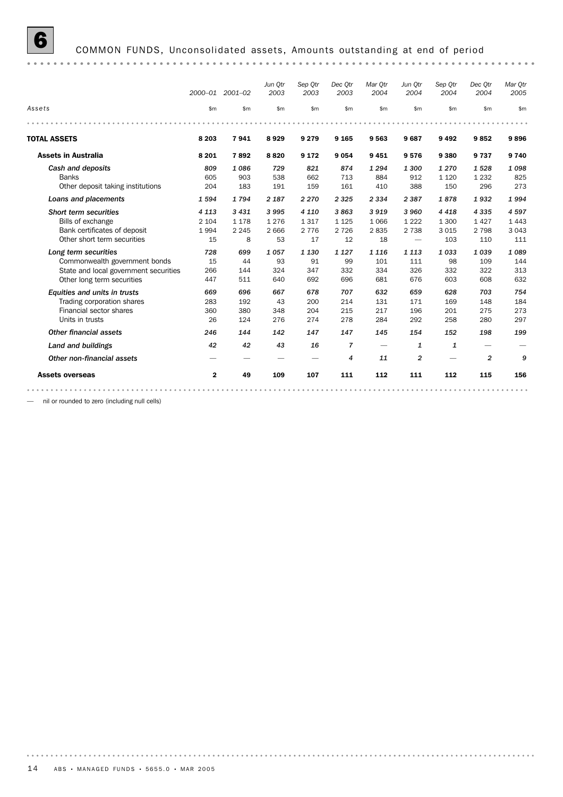# **6** COMMON FUNDS, Unconsolidated assets, Amounts outstanding at end of period

|                                       | 2000-01      | 2001-02 | Jun Otr<br>2003 | Sep Otr<br>2003 | Dec Otr<br>2003          | Mar Otr<br>2004          | Jun Otr<br>2004          | Sep Otr<br>2004 | Dec Otr<br>2004 | Mar Otr<br>2005 |
|---------------------------------------|--------------|---------|-----------------|-----------------|--------------------------|--------------------------|--------------------------|-----------------|-----------------|-----------------|
| Assets                                | \$m          | \$m     | \$m             | \$m             | \$m                      | \$m                      | \$m                      | \$m\$           | \$m             | \$m             |
|                                       |              |         |                 |                 |                          |                          |                          |                 |                 |                 |
| <b>TOTAL ASSETS</b>                   | 8 2 0 3      | 7941    | 8929            | 9 2 7 9         | 9 1 6 5                  | 9563                     | 9687                     | 9492            | 9852            | 9896            |
| <b>Assets in Australia</b>            | 8 2 0 1      | 7892    | 8820            | 9 1 7 2         | 9054                     | 9451                     | 9576                     | 9380            | 9 7 3 7         | 9 7 4 0         |
| Cash and deposits                     | 809          | 1086    | 729             | 821             | 874                      | 1 2 9 4                  | 1 300                    | 1 2 7 0         | 1528            | 1098            |
| <b>Banks</b>                          | 605          | 903     | 538             | 662             | 713                      | 884                      | 912                      | 1 1 2 0         | 1 2 3 2         | 825             |
| Other deposit taking institutions     | 204          | 183     | 191             | 159             | 161                      | 410                      | 388                      | 150             | 296             | 273             |
| Loans and placements                  | 1594         | 1794    | 2 1 8 7         | 2 2 7 0         | 2 3 2 5                  | 2 3 3 4                  | 2 3 8 7                  | 1878            | 1932            | 1994            |
| <b>Short term securities</b>          | 4 1 1 3      | 3 4 3 1 | 3995            | 4 1 1 0         | 3863                     | 3919                     | 3 9 6 0                  | 4 4 1 8         | 4 3 3 5         | 4597            |
| Bills of exchange                     | 2 1 0 4      | 1 1 7 8 | 1 2 7 6         | 1 3 1 7         | 1 1 2 5                  | 1066                     | 1 2 2 2                  | 1 3 0 0         | 1427            | 1 4 4 3         |
| Bank certificates of deposit          | 1994         | 2 2 4 5 | 2 6 6 6         | 2 7 7 6         | 2 7 2 6                  | 2835                     | 2 7 3 8                  | 3015            | 2 7 9 8         | 3 0 4 3         |
| Other short term securities           | 15           | 8       | 53              | 17              | 12                       | 18                       | $\overline{\phantom{0}}$ | 103             | 110             | 111             |
| Long term securities                  | 728          | 699     | 1057            | 1 1 3 0         | 1 1 2 7                  | 1 1 1 6                  | 1 1 1 3                  | 1033            | 1039            | 1089            |
| Commonwealth government bonds         | 15           | 44      | 93              | 91              | 99                       | 101                      | 111                      | 98              | 109             | 144             |
| State and local government securities | 266          | 144     | 324             | 347             | 332                      | 334                      | 326                      | 332             | 322             | 313             |
| Other long term securities            | 447          | 511     | 640             | 692             | 696                      | 681                      | 676                      | 603             | 608             | 632             |
| Equities and units in trusts          | 669          | 696     | 667             | 678             | 707                      | 632                      | 659                      | 628             | 703             | 754             |
| Trading corporation shares            | 283          | 192     | 43              | 200             | 214                      | 131                      | 171                      | 169             | 148             | 184             |
| Financial sector shares               | 360          | 380     | 348             | 204             | 215                      | 217                      | 196                      | 201             | 275             | 273             |
| Units in trusts                       | 26           | 124     | 276             | 274             | 278                      | 284                      | 292                      | 258             | 280             | 297             |
| <b>Other financial assets</b>         | 246          | 144     | 142             | 147             | 147                      | 145                      | 154                      | 152             | 198             | 199             |
| Land and buildings                    | 42           | 42      | 43              | 16              | $\overline{7}$           | $\overline{\phantom{0}}$ | $\mathbf{1}$             | $\mathbf{1}$    |                 |                 |
| Other non-financial assets            |              |         |                 |                 | $\overline{\mathcal{A}}$ | 11                       | $\overline{2}$           |                 | $\overline{2}$  | 9               |
| <b>Assets overseas</b>                | $\mathbf{2}$ | 49      | 109             | 107             | 111                      | 112                      | 111                      | 112             | 115             | 156             |

— nil or rounded to zero (including null cells)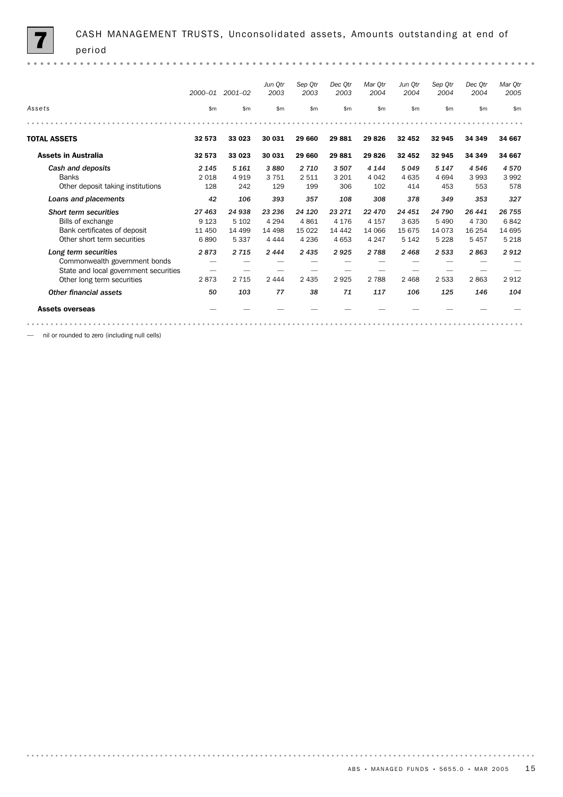|                                       | $2000 - 01$  | 2001-02  | Jun Otr<br>2003 | Sep Otr<br>2003 | Dec Otr<br>2003 | Mar Otr<br>2004 | Jun Otr<br>2004 | Sep Otr<br>2004 | Dec Otr<br>2004 | Mar Otr<br>2005 |
|---------------------------------------|--------------|----------|-----------------|-----------------|-----------------|-----------------|-----------------|-----------------|-----------------|-----------------|
| Assets                                | $\mathsf{m}$ | \$m      | \$m\$           | \$m             | \$m             | \$m             | \$m\$           | \$m             | $\mathsf{m}$    | \$m             |
|                                       |              |          |                 |                 |                 |                 |                 |                 |                 |                 |
| <b>TOTAL ASSETS</b>                   | 32 573       | 33 023   | 30 031          | 29 660          | 29881           | 29826           | 32 452          | 32 945          | 34 349          | 34 667          |
| <b>Assets in Australia</b>            | 32 573       | 33 023   | 30 031          | 29 660          | 29881           | 29826           | 32 452          | 32 945          | 34 349          | 34 667          |
| Cash and deposits                     | 2 1 4 5      | 5 1 6 1  | 3880            | 2 7 1 0         | 3 5 0 7         | 4 1 4 4         | 5049            | 5 1 4 7         | 4 5 4 6         | 4570            |
| <b>Banks</b>                          | 2018         | 4919     | 3751            | 2 5 1 1         | 3 2 0 1         | 4 0 4 2         | 4 6 3 5         | 4694            | 3993            | 3992            |
| Other deposit taking institutions     | 128          | 242      | 129             | 199             | 306             | 102             | 414             | 453             | 553             | 578             |
| Loans and placements                  | 42           | 106      | 393             | 357             | 108             | 308             | 378             | 349             | 353             | 327             |
| Short term securities                 | 27 463       | 24 938   | 23 236          | 24 1 20         | 23 271          | 22 470          | 24 451          | 24 790          | 26 441          | 26 755          |
| Bills of exchange                     | 9 1 2 3      | 5 1 0 2  | 4 2 9 4         | 4861            | 4 1 7 6         | 4 1 5 7         | 3 6 3 5         | 5 4 9 0         | 4 7 3 0         | 6842            |
| Bank certificates of deposit          | 11 450       | 14 4 9 9 | 14 4 98         | 15 0 22         | 14 4 42         | 14 066          | 15 675          | 14 0 73         | 16 254          | 14 695          |
| Other short term securities           | 6890         | 5 3 3 7  | 4 4 4 4         | 4 2 3 6         | 4 6 5 3         | 4 2 4 7         | 5 1 4 2         | 5 2 2 8         | 5457            | 5 2 1 8         |
| Long term securities                  | 2873         | 2 7 1 5  | 2444            | 2 4 3 5         | 2925            | 2788            | 2468            | 2 5 3 3         | 2863            | 2912            |
| Commonwealth government bonds         |              |          |                 |                 |                 |                 |                 |                 |                 |                 |
| State and local government securities |              |          |                 |                 |                 |                 |                 |                 |                 |                 |
| Other long term securities            | 2873         | 2 7 1 5  | 2 4 4 4         | 2 4 3 5         | 2925            | 2 7 8 8         | 2 4 6 8         | 2 5 3 3         | 2863            | 2912            |
| Other financial assets                | 50           | 103      | 77              | 38              | 71              | 117             | 106             | 125             | 146             | 104             |
| <b>Assets overseas</b>                |              |          |                 |                 |                 |                 |                 |                 |                 |                 |
|                                       |              |          |                 |                 |                 |                 |                 |                 |                 |                 |

— nil or rounded to zero (including null cells)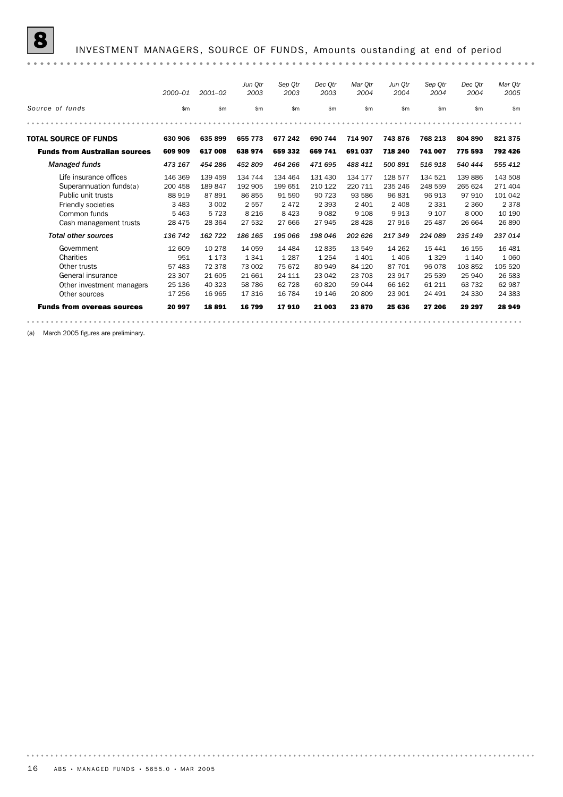|                                                                                                                                                | 2000-01                                                     | $2001 - 02$                                                 | Jun Otr<br>2003                                              | Sep Otr<br>2003                                            | Dec Otr<br>2003                                              | Mar Otr<br>2004                                               | Jun Otr<br>2004                                             | Sep Otr<br>2004                                              | Dec Otr<br>2004                                              | Mar Otr<br>2005                                                |
|------------------------------------------------------------------------------------------------------------------------------------------------|-------------------------------------------------------------|-------------------------------------------------------------|--------------------------------------------------------------|------------------------------------------------------------|--------------------------------------------------------------|---------------------------------------------------------------|-------------------------------------------------------------|--------------------------------------------------------------|--------------------------------------------------------------|----------------------------------------------------------------|
| Source of funds                                                                                                                                | \$m                                                         | \$m                                                         | \$m                                                          | \$m                                                        | \$m                                                          | \$m                                                           | \$m                                                         | \$m                                                          | \$m\$                                                        | \$m                                                            |
|                                                                                                                                                |                                                             |                                                             |                                                              |                                                            |                                                              |                                                               |                                                             |                                                              |                                                              |                                                                |
| <b>TOTAL SOURCE OF FUNDS</b>                                                                                                                   | 630 906                                                     | 635899                                                      | 655 773                                                      | 677 242                                                    | 690 744                                                      | 714 907                                                       | 743876                                                      | 768 213                                                      | 804 890                                                      | 821375                                                         |
| <b>Funds from Australian sources</b>                                                                                                           | 609 909                                                     | 617 008                                                     | 638 974                                                      | 659 332                                                    | 669 741                                                      | 691 037                                                       | 718 240                                                     | 741 007                                                      | 775 593                                                      | 792 426                                                        |
| Managed funds                                                                                                                                  | 473 167                                                     | 454 286                                                     | 452 809                                                      | 464 266                                                    | 471 695                                                      | 488 411                                                       | 500 891                                                     | 516918                                                       | 540 444                                                      | 555 412                                                        |
| Life insurance offices<br>Superannuation funds(a)<br>Public unit trusts<br><b>Friendly societies</b><br>Common funds<br>Cash management trusts | 146 369<br>200 458<br>88 919<br>3 4 8 3<br>5463<br>28 4 7 5 | 139 459<br>189847<br>87891<br>3 0 0 2<br>5 7 2 3<br>28 3 64 | 134 744<br>192 905<br>86 855<br>2 5 5 7<br>8 2 1 6<br>27 532 | 134 464<br>199 651<br>91 590<br>2472<br>8 4 2 3<br>27 666  | 131 430<br>210 122<br>90 723<br>2 3 9 3<br>9 0 8 2<br>27 945 | 134 177<br>220 711<br>93 586<br>2 4 0 1<br>9 1 0 8<br>28 4 28 | 128 577<br>235 246<br>96 831<br>2 4 0 8<br>9913<br>27916    | 134 521<br>248 559<br>96 913<br>2 3 3 1<br>9 1 0 7<br>25 487 | 139 886<br>265 624<br>97 910<br>2 3 6 0<br>8 0 0 0<br>26 664 | 143 508<br>271 404<br>101 042<br>2 3 7 8<br>10 190<br>26 890   |
| <b>Total other sources</b>                                                                                                                     | 136 742                                                     | 162 722                                                     | 186 165                                                      | 195 066                                                    | 198 046                                                      | 202 626                                                       | 217 349                                                     | 224 089                                                      | 235 149                                                      | 237 014                                                        |
| Government<br>Charities<br>Other trusts<br>General insurance<br>Other investment managers<br>Other sources                                     | 12 609<br>951<br>57 483<br>23 307<br>25 136<br>17 256       | 10 278<br>1 1 7 3<br>72 378<br>21 605<br>40 323<br>16 965   | 14 0 59<br>1341<br>73 002<br>21 661<br>58 786<br>17 316      | 14 4 84<br>1 2 8 7<br>75 672<br>24 111<br>62 728<br>16 784 | 12835<br>1 2 5 4<br>80 949<br>23 042<br>60 820<br>19 14 6    | 13 549<br>1401<br>84 120<br>23 703<br>59 044<br>20809         | 14 2 6 2<br>1 4 0 6<br>87 701<br>23 917<br>66 162<br>23 901 | 15 441<br>1 3 2 9<br>96 078<br>25 539<br>61 211<br>24 491    | 16 155<br>1 1 4 0<br>103852<br>25 940<br>63 732<br>24 330    | 16 4 8 1<br>1 0 6 0<br>105 520<br>26 583<br>62 987<br>24 3 8 3 |
| <b>Funds from overeas sources</b>                                                                                                              | 20 997                                                      | 18891                                                       | 16799                                                        | 17910                                                      | 21 003                                                       | 23870                                                         | 25 636                                                      | 27 206                                                       | 29 297                                                       | 28 949                                                         |
|                                                                                                                                                |                                                             |                                                             |                                                              |                                                            |                                                              |                                                               |                                                             |                                                              |                                                              |                                                                |

(a) March 2005 figures are preliminary.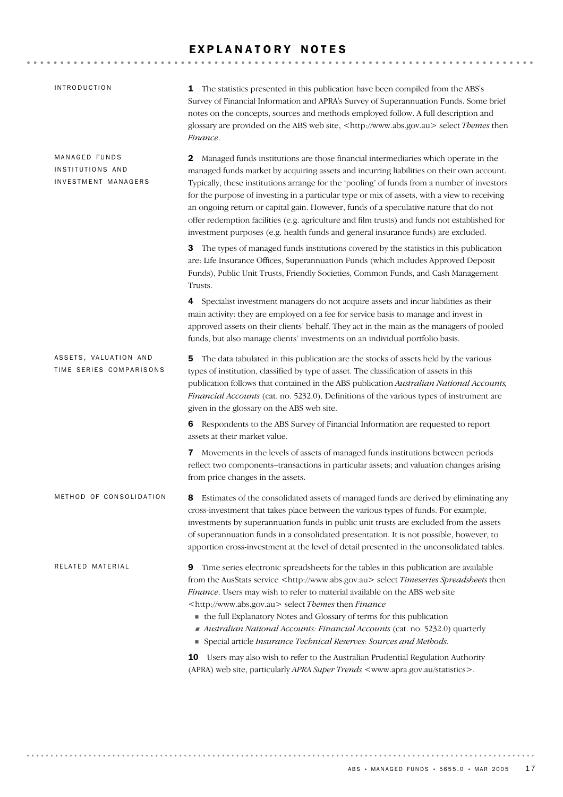#### EXPLANATORY NOTES

| <b>INTRODUCTION</b>                                      | 1 The statistics presented in this publication have been compiled from the ABS's<br>Survey of Financial Information and APRA's Survey of Superannuation Funds. Some brief<br>notes on the concepts, sources and methods employed follow. A full description and<br>glossary are provided on the ABS web site, <http: www.abs.gov.au=""> select Themes then<br/>Finance.</http:>                                                                                                                                                                                                                                                                                  |
|----------------------------------------------------------|------------------------------------------------------------------------------------------------------------------------------------------------------------------------------------------------------------------------------------------------------------------------------------------------------------------------------------------------------------------------------------------------------------------------------------------------------------------------------------------------------------------------------------------------------------------------------------------------------------------------------------------------------------------|
| MANAGED FUNDS<br>INSTITUTIONS AND<br>INVESTMENT MANAGERS | 2<br>Managed funds institutions are those financial intermediaries which operate in the<br>managed funds market by acquiring assets and incurring liabilities on their own account.<br>Typically, these institutions arrange for the 'pooling' of funds from a number of investors<br>for the purpose of investing in a particular type or mix of assets, with a view to receiving<br>an ongoing return or capital gain. However, funds of a speculative nature that do not<br>offer redemption facilities (e.g. agriculture and film trusts) and funds not established for<br>investment purposes (e.g. health funds and general insurance funds) are excluded. |
|                                                          | 3 The types of managed funds institutions covered by the statistics in this publication<br>are: Life Insurance Offices, Superannuation Funds (which includes Approved Deposit<br>Funds), Public Unit Trusts, Friendly Societies, Common Funds, and Cash Management<br>Trusts.                                                                                                                                                                                                                                                                                                                                                                                    |
|                                                          | 4 Specialist investment managers do not acquire assets and incur liabilities as their<br>main activity: they are employed on a fee for service basis to manage and invest in<br>approved assets on their clients' behalf. They act in the main as the managers of pooled<br>funds, but also manage clients' investments on an individual portfolio basis.                                                                                                                                                                                                                                                                                                        |
| ASSETS, VALUATION AND<br>TIME SERIES COMPARISONS         | The data tabulated in this publication are the stocks of assets held by the various<br>5<br>types of institution, classified by type of asset. The classification of assets in this<br>publication follows that contained in the ABS publication Australian National Accounts,<br>Financial Accounts (cat. no. 5232.0). Definitions of the various types of instrument are<br>given in the glossary on the ABS web site.                                                                                                                                                                                                                                         |
|                                                          | 6 Respondents to the ABS Survey of Financial Information are requested to report<br>assets at their market value.                                                                                                                                                                                                                                                                                                                                                                                                                                                                                                                                                |
|                                                          | Movements in the levels of assets of managed funds institutions between periods<br>7<br>reflect two components-transactions in particular assets; and valuation changes arising<br>from price changes in the assets.                                                                                                                                                                                                                                                                                                                                                                                                                                             |
| METHOD OF CONSOLIDATION                                  | Estimates of the consolidated assets of managed funds are derived by eliminating any<br>8<br>cross-investment that takes place between the various types of funds. For example,<br>investments by superannuation funds in public unit trusts are excluded from the assets<br>of superannuation funds in a consolidated presentation. It is not possible, however, to<br>apportion cross-investment at the level of detail presented in the unconsolidated tables.                                                                                                                                                                                                |
| RELATED MATERIAL                                         | Time series electronic spreadsheets for the tables in this publication are available<br>9<br>from the AusStats service <http: www.abs.gov.au=""> select Timeseries Spreadsheets then<br/>Finance. Users may wish to refer to material available on the ABS web site<br/><http: www.abs.gov.au=""> select Themes then Finance<br/>• the full Explanatory Notes and Glossary of terms for this publication<br/>Australian National Accounts: Financial Accounts (cat. no. 5232.0) quarterly<br/>Special article Insurance Technical Reserves: Sources and Methods.</http:></http:>                                                                                 |
|                                                          | 10 Users may also wish to refer to the Australian Prudential Regulation Authority<br>(APRA) web site, particularly APRA Super Trends <www.apra.gov.au statistics="">.</www.apra.gov.au>                                                                                                                                                                                                                                                                                                                                                                                                                                                                          |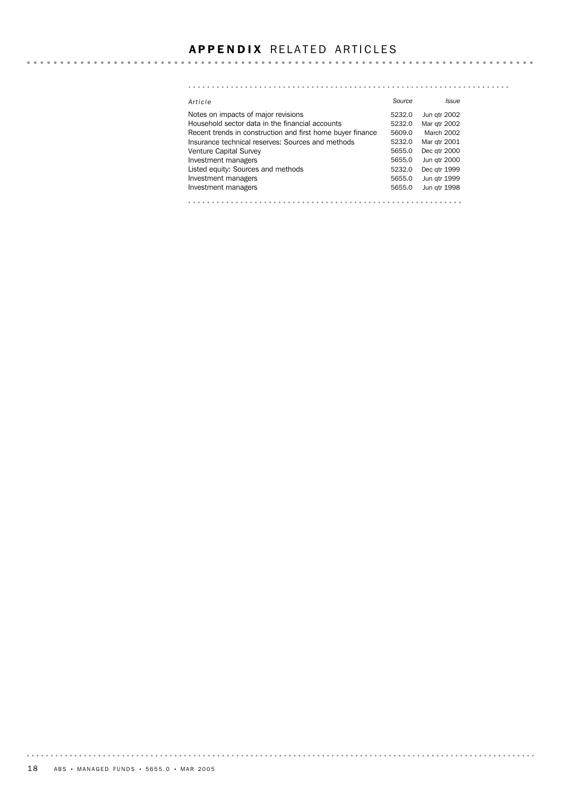#### **APPENDIX RELATED ARTICLES**

#### *Article Source Issue* Notes on impacts of major revisions **5232.0** Jun qtr 2002 Household sector data in the financial accounts 5232.0 Mar qtr 2002 Recent trends in construction and first home buyer finance 5609.0 March 2002 Insurance technical reserves: Sources and methods 5232.0 Mar qtr 2001 Venture Capital Survey **6651.0 Community** 5655.0 Dec qtr 2000 Investment managers **1988** Investment managers **5655.0** Jun qtr 2000 Investment managers and methods and stated equity: Sources and methods 5232.0 Dec qtr 1999<br>Investment managers 5655.0 Jun qtr 1999 Listed equity: Sources and methods Investment managers **1998** Investment managers **1998**

. . . . . . . . . .